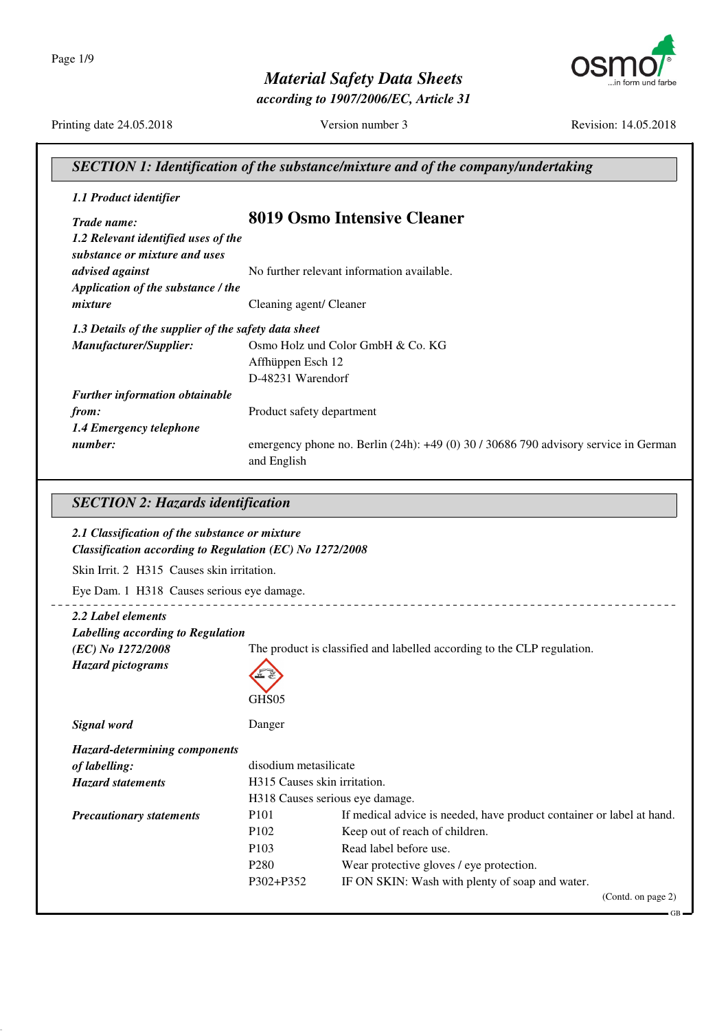Page 1/9



*according to 1907/2006/EC, Article 31*



Printing date 24.05.2018 Version number 3 Revision: 14.05.2018

| Trade name:                                              |                               | 8019 Osmo Intensive Cleaner                                                                 |
|----------------------------------------------------------|-------------------------------|---------------------------------------------------------------------------------------------|
| 1.2 Relevant identified uses of the                      |                               |                                                                                             |
| substance or mixture and uses                            |                               |                                                                                             |
| advised against                                          |                               | No further relevant information available.                                                  |
| Application of the substance / the                       |                               |                                                                                             |
| mixture                                                  | Cleaning agent/ Cleaner       |                                                                                             |
| 1.3 Details of the supplier of the safety data sheet     |                               |                                                                                             |
| Manufacturer/Supplier:                                   |                               | Osmo Holz und Color GmbH & Co. KG                                                           |
|                                                          | Affhüppen Esch 12             |                                                                                             |
|                                                          | D-48231 Warendorf             |                                                                                             |
| <b>Further information obtainable</b>                    |                               |                                                                                             |
| from:                                                    | Product safety department     |                                                                                             |
| 1.4 Emergency telephone                                  |                               |                                                                                             |
| number:                                                  |                               | emergency phone no. Berlin (24h): +49 (0) 30 / 30686 790 advisory service in German         |
|                                                          | and English                   |                                                                                             |
|                                                          |                               |                                                                                             |
| <b>SECTION 2: Hazards identification</b>                 |                               |                                                                                             |
| 2.1 Classification of the substance or mixture           |                               |                                                                                             |
|                                                          |                               |                                                                                             |
| Classification according to Regulation (EC) No 1272/2008 |                               |                                                                                             |
|                                                          |                               |                                                                                             |
| Skin Irrit. 2 H315 Causes skin irritation.               |                               |                                                                                             |
| Eye Dam. 1 H318 Causes serious eye damage.               |                               |                                                                                             |
| 2.2 Label elements                                       |                               |                                                                                             |
| Labelling according to Regulation                        |                               |                                                                                             |
| (EC) No 1272/2008                                        |                               | The product is classified and labelled according to the CLP regulation.                     |
| <b>Hazard</b> pictograms                                 |                               |                                                                                             |
|                                                          |                               |                                                                                             |
|                                                          | GHS05                         |                                                                                             |
| Signal word                                              | Danger                        |                                                                                             |
| <b>Hazard-determining components</b>                     |                               |                                                                                             |
| of labelling:                                            | disodium metasilicate         |                                                                                             |
| <b>Hazard statements</b>                                 | H315 Causes skin irritation.  |                                                                                             |
|                                                          |                               | H318 Causes serious eye damage.                                                             |
| <b>Precautionary statements</b>                          | P <sub>101</sub>              | If medical advice is needed, have product container or label at hand.                       |
|                                                          | P102                          | Keep out of reach of children.                                                              |
|                                                          | P <sub>103</sub>              | Read label before use.                                                                      |
|                                                          | P <sub>280</sub><br>P302+P352 | Wear protective gloves / eye protection.<br>IF ON SKIN: Wash with plenty of soap and water. |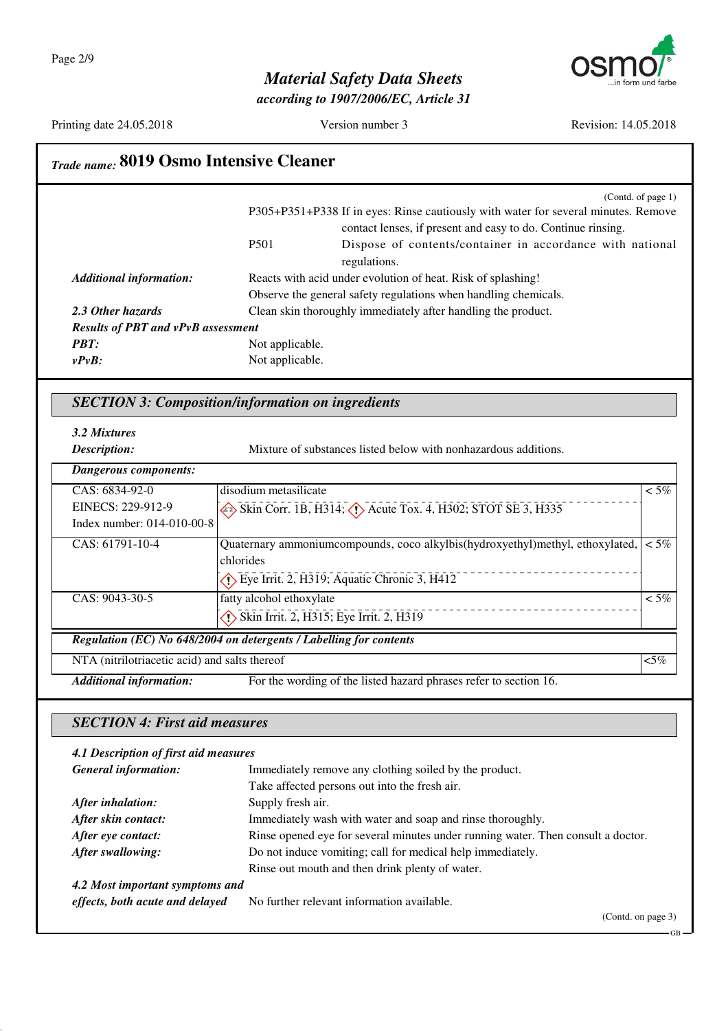

*according to 1907/2006/EC, Article 31*



Printing date 24.05.2018 Version number 3 Revision: 14.05.2018

GB

# *Trade name:* **8019 Osmo Intensive Cleaner**

|                                           |                 | (Contd. of page 1)                                                                 |
|-------------------------------------------|-----------------|------------------------------------------------------------------------------------|
|                                           |                 | P305+P351+P338 If in eyes: Rinse cautiously with water for several minutes. Remove |
|                                           |                 | contact lenses, if present and easy to do. Continue rinsing.                       |
|                                           | <b>P501</b>     | Dispose of contents/container in accordance with national                          |
|                                           |                 | regulations.                                                                       |
| <b>Additional information:</b>            |                 | Reacts with acid under evolution of heat. Risk of splashing!                       |
|                                           |                 | Observe the general safety regulations when handling chemicals.                    |
| 2.3 Other hazards                         |                 | Clean skin thoroughly immediately after handling the product.                      |
| <b>Results of PBT and vPvB assessment</b> |                 |                                                                                    |
| <b>PBT:</b>                               | Not applicable. |                                                                                    |
| $v P v B$ :                               | Not applicable. |                                                                                    |
|                                           |                 |                                                                                    |

#### *SECTION 3: Composition/information on ingredients*

*3.2 Mixtures*

*Description:* Mixture of substances listed below with nonhazardous additions.

| Dangerous components:                         |                                                                                  |         |
|-----------------------------------------------|----------------------------------------------------------------------------------|---------|
| $CAS: 6834-92-0$                              | disodium metasilicate                                                            | $<$ 5%  |
| EINECS: 229-912-9                             | Skin Corr. 1B, H314; $\langle \cdot \rangle$ Acute Tox. 4, H302; STOT SE 3, H335 |         |
| Index number: 014-010-00-8                    |                                                                                  |         |
| CAS: 61791-10-4                               | Quaternary ammonium compounds, coco alkylbis (hydroxyethyl) methyl, ethoxylated, | $<$ 5%  |
|                                               | chlorides                                                                        |         |
|                                               | $\langle \cdot \rangle$ Eye Irrit. 2, H319; Aquatic Chronic 3, H412              |         |
| CAS: 9043-30-5                                | fatty alcohol ethoxylate                                                         | $< 5\%$ |
|                                               | Skin Irrit. 2, H315; Eye Irrit. 2, H319                                          |         |
|                                               | Regulation (EC) No 648/2004 on detergents / Labelling for contents               |         |
| NTA (nitrilotriacetic acid) and salts thereof |                                                                                  | $< 5\%$ |
| <b>Additional information:</b>                | For the wording of the listed hazard phrases refer to section 16.                |         |

#### *SECTION 4: First aid measures*

#### *4.1 Description of first aid measures General information:* Immediately remove any clothing soiled by the product. Take affected persons out into the fresh air. *After inhalation:* Supply fresh air. *After skin contact:* Immediately wash with water and soap and rinse thoroughly. After eye contact: Rinse opened eye for several minutes under running water. Then consult a doctor. *After swallowing:* Do not induce vomiting; call for medical help immediately. Rinse out mouth and then drink plenty of water. *4.2 Most important symptoms and effects, both acute and delayed* No further relevant information available. (Contd. on page 3)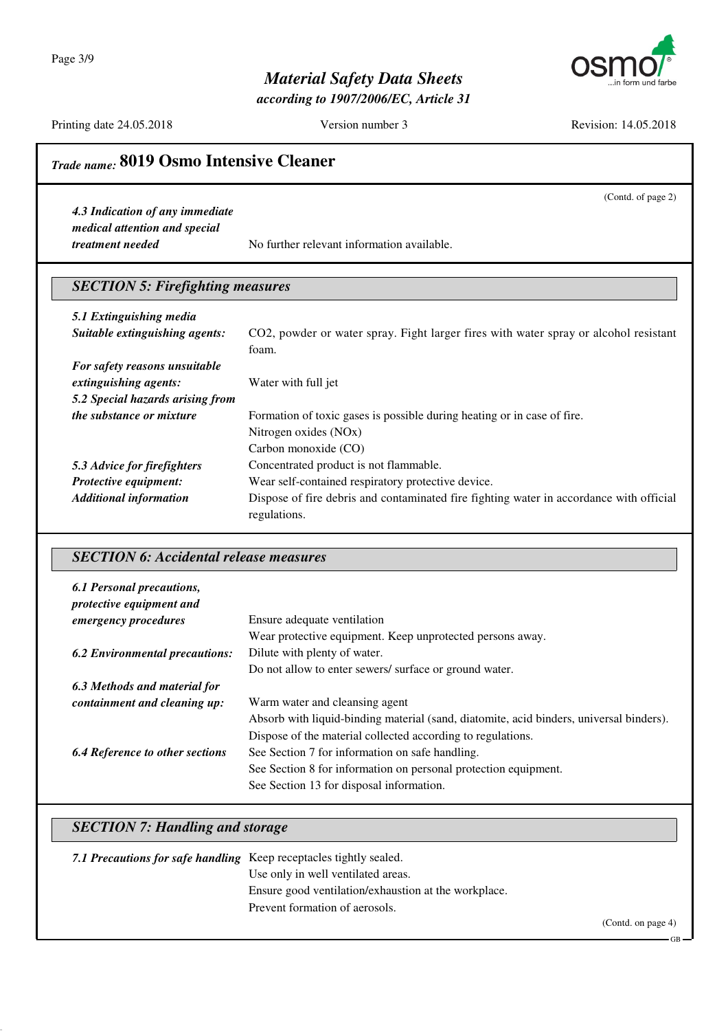Page 3/9



### *Material Safety Data Sheets*

*according to 1907/2006/EC, Article 31*

Printing date 24.05.2018 Version number 3 Revision: 14.05.2018

(Contd. of page 2)

### *Trade name:* **8019 Osmo Intensive Cleaner**

*4.3 Indication of any immediate medical attention and special*

*treatment needed* No further relevant information available.

#### *SECTION 5: Firefighting measures*

| 5.1 Extinguishing media          |                                                                                                         |
|----------------------------------|---------------------------------------------------------------------------------------------------------|
| Suitable extinguishing agents:   | CO2, powder or water spray. Fight larger fires with water spray or alcohol resistant                    |
|                                  | foam.                                                                                                   |
| For safety reasons unsuitable    |                                                                                                         |
| extinguishing agents:            | Water with full jet                                                                                     |
| 5.2 Special hazards arising from |                                                                                                         |
| <i>the substance or mixture</i>  | Formation of toxic gases is possible during heating or in case of fire.                                 |
|                                  | Nitrogen oxides (NOx)                                                                                   |
|                                  | Carbon monoxide (CO)                                                                                    |
| 5.3 Advice for firefighters      | Concentrated product is not flammable.                                                                  |
| <b>Protective equipment:</b>     | Wear self-contained respiratory protective device.                                                      |
| <b>Additional information</b>    | Dispose of fire debris and contaminated fire fighting water in accordance with official<br>regulations. |

#### *SECTION 6: Accidental release measures*

| 6.1 Personal precautions,              |                                                                                         |
|----------------------------------------|-----------------------------------------------------------------------------------------|
| protective equipment and               |                                                                                         |
| <i>emergency procedures</i>            | Ensure adequate ventilation                                                             |
|                                        | Wear protective equipment. Keep unprotected persons away.                               |
| <b>6.2 Environmental precautions:</b>  | Dilute with plenty of water.                                                            |
|                                        | Do not allow to enter sewers/ surface or ground water.                                  |
| 6.3 Methods and material for           |                                                                                         |
| containment and cleaning up:           | Warm water and cleansing agent                                                          |
|                                        | Absorb with liquid-binding material (sand, diatomite, acid binders, universal binders). |
|                                        | Dispose of the material collected according to regulations.                             |
| <b>6.4 Reference to other sections</b> | See Section 7 for information on safe handling.                                         |
|                                        | See Section 8 for information on personal protection equipment.                         |
|                                        | See Section 13 for disposal information.                                                |

#### *SECTION 7: Handling and storage*

| 7.1 Precautions for safe handling Keep receptacles tightly sealed. |                                                      |
|--------------------------------------------------------------------|------------------------------------------------------|
|                                                                    | Use only in well ventilated areas.                   |
|                                                                    | Ensure good ventilation/exhaustion at the workplace. |
|                                                                    | Prevent formation of aerosols.                       |
|                                                                    |                                                      |

(Contd. on page 4)

GB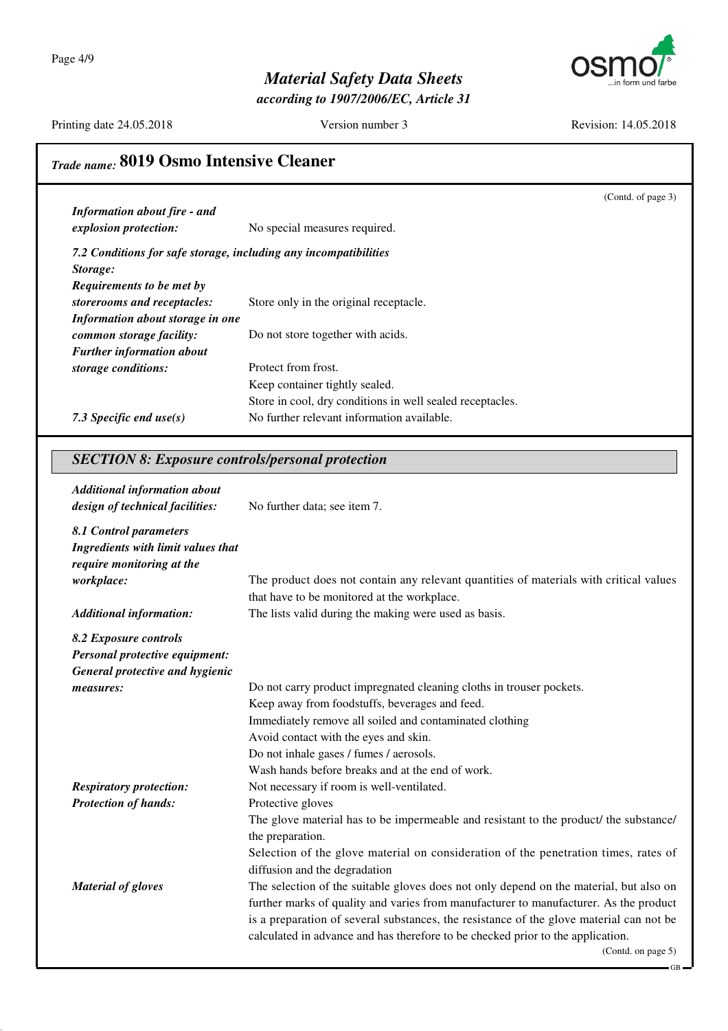

*according to 1907/2006/EC, Article 31*

Printing date 24.05.2018 Version number 3 Revision: 14.05.2018

## *Trade name:* **8019 Osmo Intensive Cleaner**

|                                                                  |                                                           | (Contd. of page 3) |
|------------------------------------------------------------------|-----------------------------------------------------------|--------------------|
| <b>Information about fire - and</b>                              |                                                           |                    |
| explosion protection:                                            | No special measures required.                             |                    |
| 7.2 Conditions for safe storage, including any incompatibilities |                                                           |                    |
| Storage:                                                         |                                                           |                    |
| Requirements to be met by                                        |                                                           |                    |
| storerooms and receptacles:                                      | Store only in the original receptacle.                    |                    |
| Information about storage in one                                 |                                                           |                    |
| common storage facility:                                         | Do not store together with acids.                         |                    |
| <b>Further information about</b>                                 |                                                           |                    |
| storage conditions:                                              | Protect from frost.                                       |                    |
|                                                                  | Keep container tightly sealed.                            |                    |
|                                                                  | Store in cool, dry conditions in well sealed receptacles. |                    |
| 7.3 Specific end use $(s)$                                       | No further relevant information available.                |                    |
|                                                                  |                                                           |                    |

#### *SECTION 8: Exposure controls/personal protection*

| <b>Additional information about</b><br>design of technical facilities:                    | No further data; see item 7.                                                            |
|-------------------------------------------------------------------------------------------|-----------------------------------------------------------------------------------------|
| 8.1 Control parameters<br>Ingredients with limit values that<br>require monitoring at the |                                                                                         |
| workplace:                                                                                | The product does not contain any relevant quantities of materials with critical values  |
|                                                                                           | that have to be monitored at the workplace.                                             |
| <b>Additional information:</b>                                                            | The lists valid during the making were used as basis.                                   |
| 8.2 Exposure controls                                                                     |                                                                                         |
| Personal protective equipment:                                                            |                                                                                         |
| General protective and hygienic                                                           |                                                                                         |
| measures:                                                                                 | Do not carry product impregnated cleaning cloths in trouser pockets.                    |
|                                                                                           | Keep away from foodstuffs, beverages and feed.                                          |
|                                                                                           | Immediately remove all soiled and contaminated clothing                                 |
|                                                                                           | Avoid contact with the eyes and skin.                                                   |
|                                                                                           | Do not inhale gases / fumes / aerosols.                                                 |
|                                                                                           | Wash hands before breaks and at the end of work.                                        |
| <b>Respiratory protection:</b>                                                            | Not necessary if room is well-ventilated.                                               |
| <b>Protection of hands:</b>                                                               | Protective gloves                                                                       |
|                                                                                           | The glove material has to be impermeable and resistant to the product/ the substance/   |
|                                                                                           | the preparation.                                                                        |
|                                                                                           | Selection of the glove material on consideration of the penetration times, rates of     |
|                                                                                           | diffusion and the degradation                                                           |
| <b>Material of gloves</b>                                                                 | The selection of the suitable gloves does not only depend on the material, but also on  |
|                                                                                           | further marks of quality and varies from manufacturer to manufacturer. As the product   |
|                                                                                           | is a preparation of several substances, the resistance of the glove material can not be |
|                                                                                           | calculated in advance and has therefore to be checked prior to the application.         |
|                                                                                           | (Contd. on page 5)                                                                      |
|                                                                                           |                                                                                         |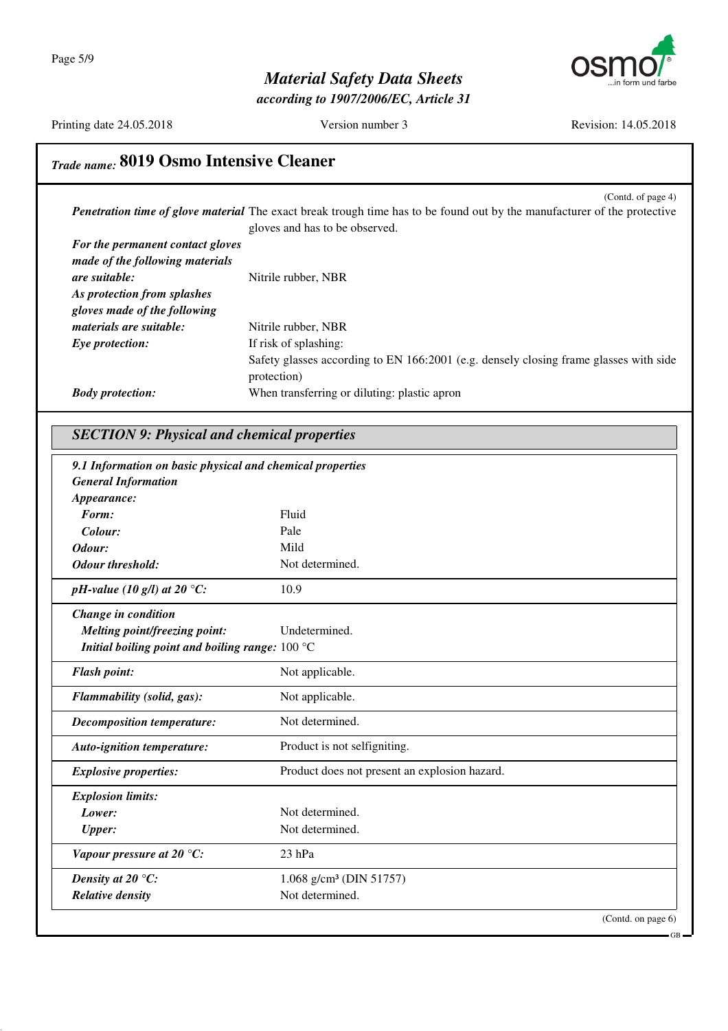

*according to 1907/2006/EC, Article 31*

Printing date 24.05.2018 Version number 3 Revision: 14.05.2018

GB

## *Trade name:* **8019 Osmo Intensive Cleaner**

(Contd. of page 4) *Penetration time of glove material* The exact break trough time has to be found out by the manufacturer of the protective gloves and has to be observed. *For the permanent contact gloves made of the following materials are suitable:* Nitrile rubber, NBR *As protection from splashes gloves made of the following materials are suitable:* Nitrile rubber, NBR *Eye protection:* If risk of splashing: Safety glasses according to EN 166:2001 (e.g. densely closing frame glasses with side protection) *Body protection:* When transferring or diluting: plastic apron

### *SECTION 9: Physical and chemical properties*

| <b>General Information</b>                        |                                               |  |
|---------------------------------------------------|-----------------------------------------------|--|
| Appearance:                                       |                                               |  |
| Form:                                             | Fluid                                         |  |
| Colour:                                           | Pale                                          |  |
| Odour:                                            | Mild                                          |  |
| <b>Odour threshold:</b>                           | Not determined.                               |  |
| pH-value (10 g/l) at 20 °C:                       | 10.9                                          |  |
| Change in condition                               |                                               |  |
| Melting point/freezing point:                     | Undetermined.                                 |  |
| Initial boiling point and boiling range: $100 °C$ |                                               |  |
| <b>Flash point:</b>                               | Not applicable.                               |  |
| Flammability (solid, gas):                        | Not applicable.                               |  |
| <b>Decomposition temperature:</b>                 | Not determined.                               |  |
| Auto-ignition temperature:                        | Product is not selfigniting.                  |  |
| <b>Explosive properties:</b>                      | Product does not present an explosion hazard. |  |
| <b>Explosion limits:</b>                          |                                               |  |
| Lower:                                            | Not determined.                               |  |
| <b>Upper:</b>                                     | Not determined.                               |  |
| Vapour pressure at 20 $^{\circ}$ C:               | 23 hPa                                        |  |
| Density at 20 $\,^{\circ}$ C:                     | 1.068 g/cm <sup>3</sup> (DIN 51757)           |  |
| <b>Relative density</b>                           | Not determined.                               |  |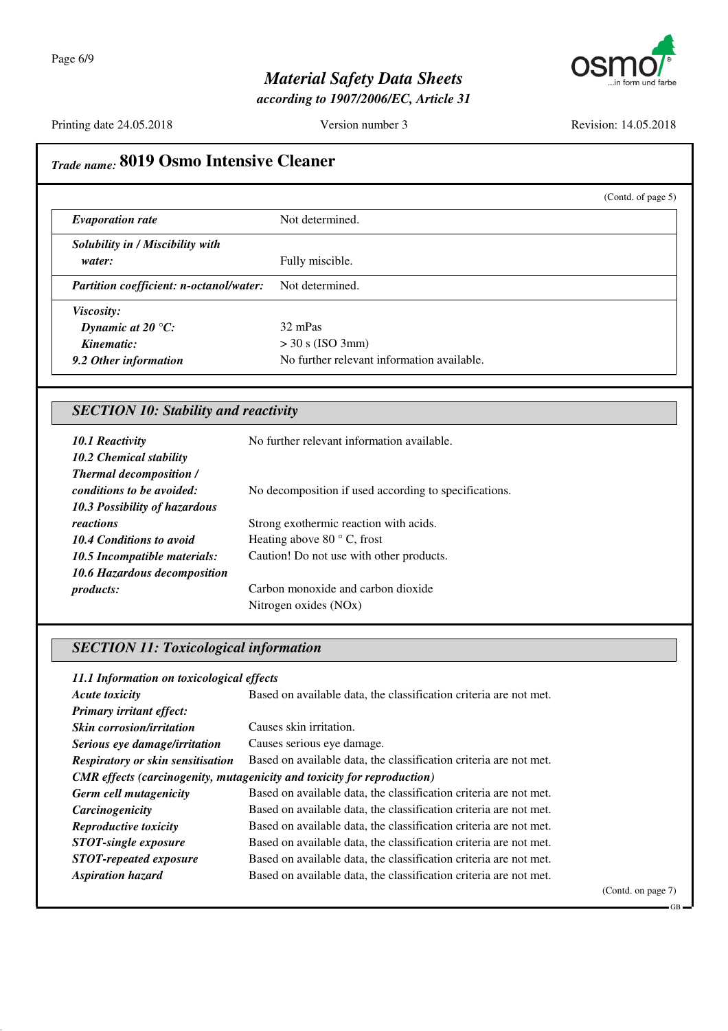

*according to 1907/2006/EC, Article 31*

Printing date 24.05.2018 Version number 3 Revision: 14.05.2018

|                                                           |                                                             | (Contd. of page 5) |
|-----------------------------------------------------------|-------------------------------------------------------------|--------------------|
| <b>Evaporation rate</b>                                   | Not determined.                                             |                    |
| Solubility in / Miscibility with                          |                                                             |                    |
| water:                                                    | Fully miscible.                                             |                    |
| Partition coefficient: n-octanol/water:                   | Not determined.                                             |                    |
| Viscosity:                                                |                                                             |                    |
| Dynamic at 20 $\degree$ C:                                | 32 mPas                                                     |                    |
| Kinematic:                                                | $>$ 30 s (ISO 3mm)                                          |                    |
| 9.2 Other information                                     | No further relevant information available.                  |                    |
| 10.2 Chemical stability<br><b>Thermal decomposition /</b> |                                                             |                    |
| 10.1 Reactivity                                           |                                                             |                    |
| conditions to be avoided:                                 | No decomposition if used according to specifications.       |                    |
| 10.3 Possibility of hazardous                             |                                                             |                    |
| reactions                                                 | Strong exothermic reaction with acids.                      |                    |
| <b>10.4 Conditions to avoid</b>                           | Heating above 80 °C, frost                                  |                    |
|                                                           | Caution! Do not use with other products.                    |                    |
| 10.5 Incompatible materials:                              |                                                             |                    |
| 10.6 Hazardous decomposition                              |                                                             |                    |
| products:                                                 | Carbon monoxide and carbon dioxide<br>Nitrogen oxides (NOx) |                    |

| 11.1 Information on toxicological effects |                                                                                |            |
|-------------------------------------------|--------------------------------------------------------------------------------|------------|
| <b>Acute toxicity</b>                     | Based on available data, the classification criteria are not met.              |            |
| <b>Primary irritant effect:</b>           |                                                                                |            |
| <b>Skin corrosion/irritation</b>          | Causes skin irritation.                                                        |            |
| Serious eye damage/irritation             | Causes serious eye damage.                                                     |            |
| <b>Respiratory or skin sensitisation</b>  | Based on available data, the classification criteria are not met.              |            |
|                                           | <b>CMR</b> effects (carcinogenity, mutagenicity and toxicity for reproduction) |            |
| Germ cell mutagenicity                    | Based on available data, the classification criteria are not met.              |            |
| Carcinogenicity                           | Based on available data, the classification criteria are not met.              |            |
| Reproductive toxicity                     | Based on available data, the classification criteria are not met.              |            |
| <b>STOT-single exposure</b>               | Based on available data, the classification criteria are not met.              |            |
| <b>STOT-repeated exposure</b>             | Based on available data, the classification criteria are not met.              |            |
| <b>Aspiration hazard</b>                  | Based on available data, the classification criteria are not met.              |            |
|                                           |                                                                                | $\sqrt{a}$ |

(Contd. on page 7)

GB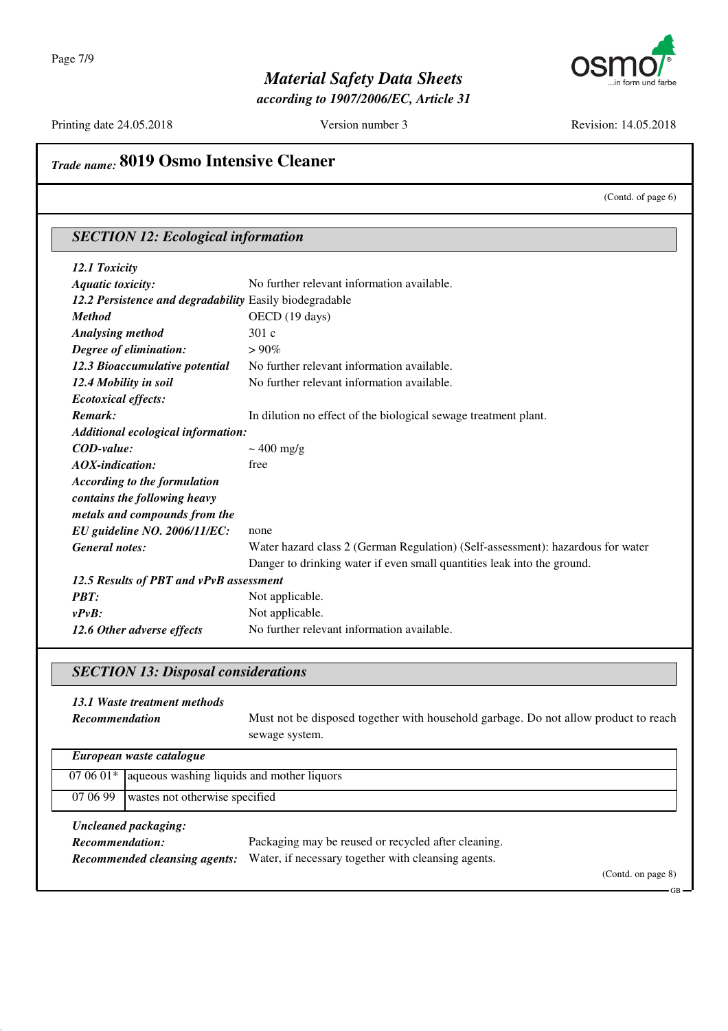

*according to 1907/2006/EC, Article 31*

Printing date 24.05.2018 Version number 3 Revision: 14.05.2018

## *Trade name:* **8019 Osmo Intensive Cleaner**

(Contd. of page 6)

| <b>SECTION 12: Ecological information</b>               |                                                                                 |  |
|---------------------------------------------------------|---------------------------------------------------------------------------------|--|
| 12.1 Toxicity                                           |                                                                                 |  |
| <b>Aquatic toxicity:</b>                                | No further relevant information available.                                      |  |
| 12.2 Persistence and degradability Easily biodegradable |                                                                                 |  |
| <b>Method</b>                                           | OECD (19 days)                                                                  |  |
| <b>Analysing method</b>                                 | 301c                                                                            |  |
| Degree of elimination:                                  | $>90\%$                                                                         |  |
| 12.3 Bioaccumulative potential                          | No further relevant information available.                                      |  |
| 12.4 Mobility in soil                                   | No further relevant information available.                                      |  |
| <b>Ecotoxical effects:</b>                              |                                                                                 |  |
| Remark:                                                 | In dilution no effect of the biological sewage treatment plant.                 |  |
| Additional ecological information:                      |                                                                                 |  |
| $\mathit{COD-value}$ :                                  | $\sim 400$ mg/g                                                                 |  |
| $AOX$ -indication:                                      | free                                                                            |  |
| <b>According to the formulation</b>                     |                                                                                 |  |
| contains the following heavy                            |                                                                                 |  |
| metals and compounds from the                           |                                                                                 |  |
| EU guideline NO. 2006/11/EC:                            | none                                                                            |  |
| <b>General notes:</b>                                   | Water hazard class 2 (German Regulation) (Self-assessment): hazardous for water |  |
|                                                         | Danger to drinking water if even small quantities leak into the ground.         |  |
| 12.5 Results of PBT and vPvB assessment                 |                                                                                 |  |
| PBT:                                                    | Not applicable.                                                                 |  |
| $v P v B$ :                                             | Not applicable.                                                                 |  |
| 12.6 Other adverse effects                              | No further relevant information available.                                      |  |

### *SECTION 13: Disposal considerations*

| 13.1 Waste treatment methods<br><b>Recommendation</b>                           | Must not be disposed together with household garbage. Do not allow product to reach<br>sewage system.                            |  |
|---------------------------------------------------------------------------------|----------------------------------------------------------------------------------------------------------------------------------|--|
| European waste catalogue                                                        |                                                                                                                                  |  |
| aqueous washing liquids and mother liquors<br>$070601*$                         |                                                                                                                                  |  |
| 07 06 99<br>wastes not otherwise specified                                      |                                                                                                                                  |  |
| Uncleaned packaging:<br>Recommendation:<br><b>Recommended cleansing agents:</b> | Packaging may be reused or recycled after cleaning.<br>Water, if necessary together with cleansing agents.<br>(Contd. on page 8) |  |

GB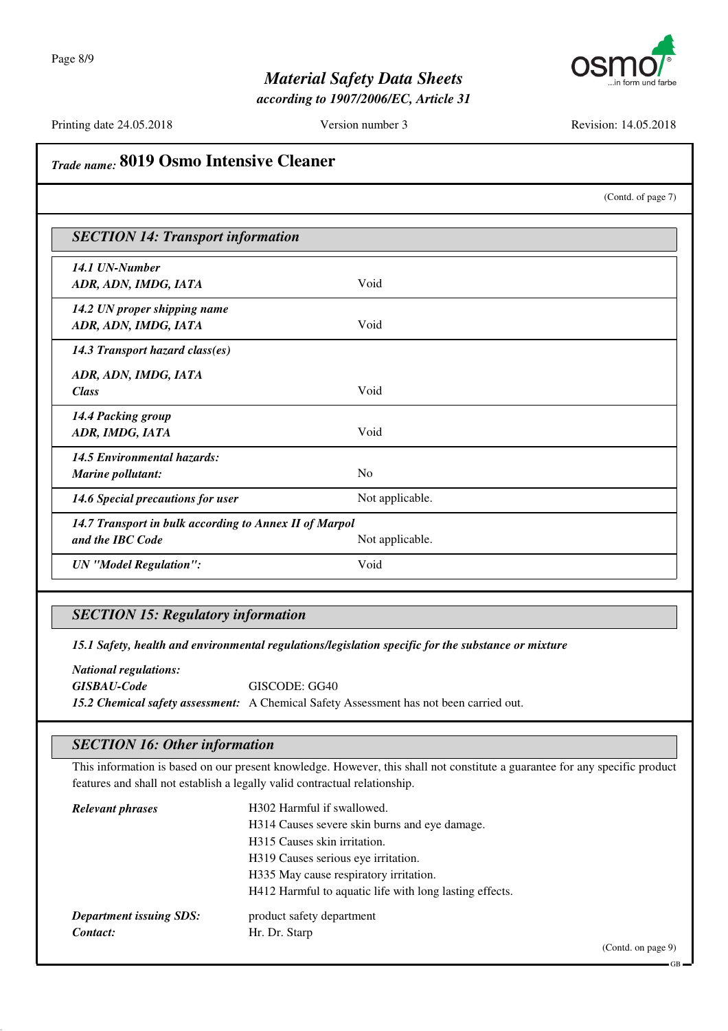

*according to 1907/2006/EC, Article 31*

Printing date 24.05.2018 Version number 3 Revision: 14.05.2018

|                                                                            |                 | (Contd. of page 7) |
|----------------------------------------------------------------------------|-----------------|--------------------|
| <b>SECTION 14: Transport information</b>                                   |                 |                    |
| 14.1 UN-Number<br>ADR, ADN, IMDG, IATA                                     | Void            |                    |
| 14.2 UN proper shipping name<br>ADR, ADN, IMDG, IATA                       | Void            |                    |
| 14.3 Transport hazard class(es)<br>ADR, ADN, IMDG, IATA                    |                 |                    |
| <b>Class</b>                                                               | Void            |                    |
| 14.4 Packing group<br>ADR, IMDG, IATA                                      | Void            |                    |
| <b>14.5 Environmental hazards:</b><br>Marine pollutant:                    | N <sub>o</sub>  |                    |
| 14.6 Special precautions for user                                          | Not applicable. |                    |
| 14.7 Transport in bulk according to Annex II of Marpol<br>and the IBC Code | Not applicable. |                    |
| <b>UN</b> "Model Regulation":                                              | Void            |                    |

### *SECTION 15: Regulatory information*

*15.1 Safety, health and environmental regulations/legislation specific for the substance or mixture*

*National regulations: GISBAU-Code* GISCODE: GG40 *15.2 Chemical safety assessment:* A Chemical Safety Assessment has not been carried out.

#### *SECTION 16: Other information*

This information is based on our present knowledge. However, this shall not constitute a guarantee for any specific product features and shall not establish a legally valid contractual relationship.

| <b>Relevant phrases</b>        | H302 Harmful if swallowed.                              |
|--------------------------------|---------------------------------------------------------|
|                                | H314 Causes severe skin burns and eye damage.           |
|                                | H315 Causes skin irritation.                            |
|                                | H319 Causes serious eye irritation.                     |
|                                | H335 May cause respiratory irritation.                  |
|                                | H412 Harmful to aquatic life with long lasting effects. |
| <b>Department issuing SDS:</b> | product safety department                               |
| Contact:                       | Hr. Dr. Starp                                           |

(Contd. on page 9)

GB